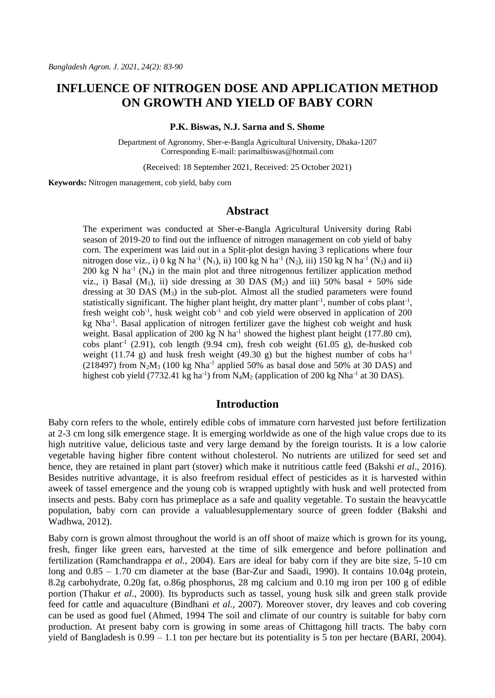# **INFLUENCE OF NITROGEN DOSE AND APPLICATION METHOD ON GROWTH AND YIELD OF BABY CORN**

#### **P.K. Biswas, N.J. Sarna and S. Shome**

Department of Agronomy, Sher-e-Bangla Agricultural University, Dhaka-1207 Corresponding E-mail[: parimalbiswas@hotmail.com](mailto:parimalbiswas@hotmail.com)

(Received: 18 September 2021, Received: 25 October 2021)

**Keywords:** Nitrogen management, cob yield, baby corn

# **Abstract**

The experiment was conducted at Sher-e-Bangla Agricultural University during Rabi season of 2019-20 to find out the influence of nitrogen management on cob yield of baby corn. The experiment was laid out in a Split-plot design having 3 replications where four nitrogen dose viz., i) 0 kg N ha<sup>-1</sup> (N<sub>1</sub>), ii) 100 kg N ha<sup>-1</sup> (N<sub>2</sub>), iii) 150 kg N ha<sup>-1</sup> (N<sub>3</sub>) and ii) 200 kg N ha<sup>-1</sup> ( $N_4$ ) in the main plot and three nitrogenous fertilizer application method viz., i) Basal ( $M_1$ ), ii) side dressing at 30 DAS ( $M_2$ ) and iii) 50% basal + 50% side dressing at 30 DAS (M3) in the sub-plot. Almost all the studied parameters were found statistically significant. The higher plant height, dry matter plant<sup>-1</sup>, number of cobs plant<sup>-1</sup>, fresh weight  $\cosh^{-1}$ , husk weight  $\cosh^{-1}$  and  $\cosh$  yield were observed in application of 200 kg Nha<sup>-1</sup>. Basal application of nitrogen fertilizer gave the highest cob weight and husk weight. Basal application of 200 kg N ha<sup>-1</sup> showed the highest plant height (177.80 cm),  $cobs$  plant<sup>-1</sup> (2.91),  $cob$  length (9.94 cm), fresh  $cob$  weight (61.05 g), de-husked  $cob$ weight (11.74 g) and husk fresh weight (49.30 g) but the highest number of cobs  $ha^{-1}$ (218497) from  $N_2M_3$  (100 kg Nha<sup>-1</sup> applied 50% as basal dose and 50% at 30 DAS) and highest cob yield (7732.41 kg ha<sup>-1</sup>) from  $N_4M_2$  (application of 200 kg Nha<sup>-1</sup> at 30 DAS).

# **Introduction**

Baby corn refers to the whole, entirely edible cobs of immature corn harvested just before fertilization at 2-3 cm long silk emergence stage. It is emerging worldwide as one of the high value crops due to its high nutritive value, delicious taste and very large demand by the foreign tourists. It is a low calorie vegetable having higher fibre content without cholesterol. No nutrients are utilized for seed set and hence, they are retained in plant part (stover) which make it nutritious cattle feed (Bakshi *et al*., 2016). Besides nutritive advantage, it is also freefrom residual effect of pesticides as it is harvested within aweek of tassel emergence and the young cob is wrapped uptightly with husk and well protected from insects and pests. Baby corn has primeplace as a safe and quality vegetable. To sustain the heavycattle population, baby corn can provide a valuablesupplementary source of green fodder (Bakshi and Wadhwa, 2012).

Baby corn is grown almost throughout the world is an off shoot of maize which is grown for its young, fresh, finger like green ears, harvested at the time of silk emergence and before pollination and fertilization (Ramchandrappa *et al.,* 2004). Ears are ideal for baby corn if they are bite size, 5-10 cm long and 0.85 – 1.70 cm diameter at the base (Bar-Zur and Saadi, 1990). It contains 10.04g protein, 8.2g carbohydrate, 0.20g fat, o.86g phosphorus, 28 mg calcium and 0.10 mg iron per 100 g of edible portion (Thakur *et al*., 2000). Its byproducts such as tassel, young husk silk and green stalk provide feed for cattle and aquaculture (Bindhani *et al.,* 2007). Moreover stover, dry leaves and cob covering can be used as good fuel (Ahmed, 1994 The soil and climate of our country is suitable for baby corn production. At present baby corn is growing in some areas of Chittagong hill tracts. The baby corn yield of Bangladesh is 0.99 – 1.1 ton per hectare but its potentiality is 5 ton per hectare (BARI, 2004).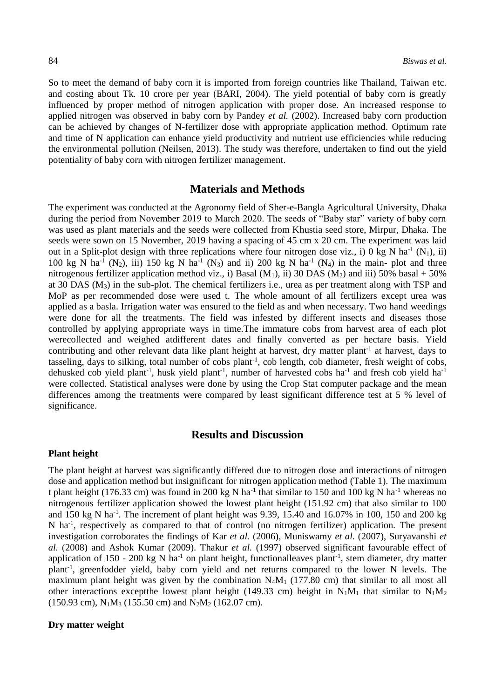So to meet the demand of baby corn it is imported from foreign countries like Thailand, Taiwan etc. and costing about Tk. 10 crore per year (BARI, 2004). The yield potential of baby corn is greatly influenced by proper method of nitrogen application with proper dose. An increased response to applied nitrogen was observed in baby corn by Pandey *et al.* (2002). Increased baby corn production can be achieved by changes of N-fertilizer dose with appropriate application method. Optimum rate and time of N application can enhance yield productivity and nutrient use efficiencies while reducing the environmental pollution (Neilsen, 2013). The study was therefore, undertaken to find out the yield potentiality of baby corn with nitrogen fertilizer management.

### **Materials and Methods**

The experiment was conducted at the Agronomy field of Sher-e-Bangla Agricultural University, Dhaka during the period from November 2019 to March 2020. The seeds of "Baby star" variety of baby corn was used as plant materials and the seeds were collected from Khustia seed store, Mirpur, Dhaka. The seeds were sown on 15 November, 2019 having a spacing of 45 cm x 20 cm. The experiment was laid out in a Split-plot design with three replications where four nitrogen dose viz., i) 0 kg N ha<sup>-1</sup> (N<sub>1</sub>), ii) 100 kg N ha<sup>-1</sup> (N<sub>2</sub>), iii) 150 kg N ha<sup>-1</sup> (N<sub>3</sub>) and ii) 200 kg N ha<sup>-1</sup> (N<sub>4</sub>) in the main- plot and three nitrogenous fertilizer application method viz., i) Basal  $(M_1)$ , ii) 30 DAS  $(M_2)$  and iii) 50% basal + 50% at 30 DAS  $(M_3)$  in the sub-plot. The chemical fertilizers i.e., urea as per treatment along with TSP and MoP as per recommended dose were used t. The whole amount of all fertilizers except urea was applied as a basla. Irrigation water was ensured to the field as and when necessary. Two hand weedings were done for all the treatments. The field was infested by different insects and diseases those controlled by applying appropriate ways in time.The immature cobs from harvest area of each plot werecollected and weighed atdifferent dates and finally converted as per hectare basis. Yield contributing and other relevant data like plant height at harvest, dry matter plant<sup>-1</sup> at harvest, days to tasseling, days to silking, total number of cobs plant<sup>-1</sup>, cob length, cob diameter, fresh weight of cobs, dehusked cob yield plant<sup>-1</sup>, husk yield plant<sup>-1</sup>, number of harvested cobs ha<sup>-1</sup> and fresh cob yield ha<sup>-1</sup> were collected. Statistical analyses were done by using the Crop Stat computer package and the mean differences among the treatments were compared by least significant difference test at 5 % level of significance.

# **Results and Discussion**

#### **Plant height**

The plant height at harvest was significantly differed due to nitrogen dose and interactions of nitrogen dose and application method but insignificant for nitrogen application method (Table 1). The maximum t plant height (176.33 cm) was found in 200 kg N ha<sup>-1</sup> that similar to 150 and 100 kg N ha<sup>-1</sup> whereas no nitrogenous fertilizer application showed the lowest plant height (151.92 cm) that also similar to 100 and  $150 \text{ kg N}$  ha<sup>-1</sup>. The increment of plant height was 9.39, 15.40 and 16.07% in 100, 150 and 200 kg N ha<sup>-1</sup>, respectively as compared to that of control (no nitrogen fertilizer) application. The present investigation corroborates the findings of Kar *et al.* (2006), Muniswamy *et al.* (2007), Suryavanshi *et al.* (2008) and Ashok Kumar (2009). Thakur *et al.* (1997) observed significant favourable effect of application of  $150 - 200$  kg N ha<sup>-1</sup> on plant height, functionalleaves plant<sup>-1</sup>, stem diameter, dry matter plant<sup>-1</sup>, greenfodder yield, baby corn yield and net returns compared to the lower N levels. The maximum plant height was given by the combination  $N_4M_1$  (177.80 cm) that similar to all most all other interactions except the lowest plant height (149.33 cm) height in  $N_1M_1$  that similar to  $N_1M_2$  $(150.93 \text{ cm})$ , N<sub>1</sub>M<sub>3</sub> (155.50 cm) and N<sub>2</sub>M<sub>2</sub> (162.07 cm).

# **Dry matter weight**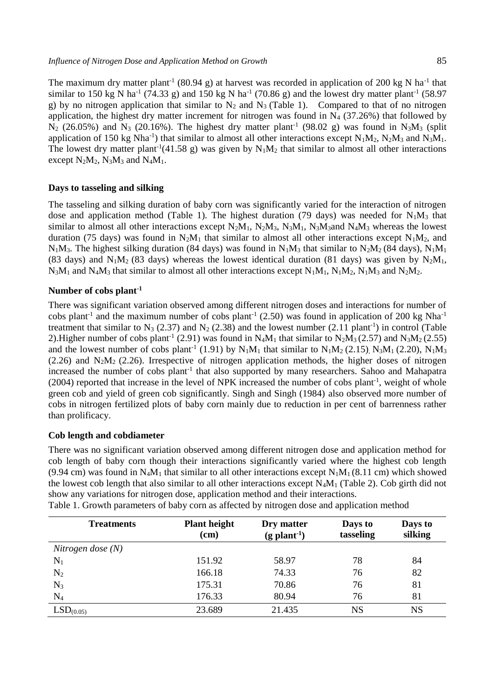The maximum dry matter plant<sup>-1</sup> (80.94 g) at harvest was recorded in application of 200 kg N ha<sup>-1</sup> that similar to 150 kg N ha<sup>-1</sup> (74.33 g) and 150 kg N ha<sup>-1</sup> (70.86 g) and the lowest dry matter plant<sup>-1</sup> (58.97 g) by no nitrogen application that similar to  $N_2$  and  $N_3$  (Table 1). Compared to that of no nitrogen application, the highest dry matter increment for nitrogen was found in  $N_4$  (37.26%) that followed by  $N_2$  (26.05%) and  $N_3$  (20.16%). The highest dry matter plant<sup>-1</sup> (98.02 g) was found in  $N_3M_3$  (split application of 150 kg Nha<sup>-1</sup>) that similar to almost all other interactions except  $N_1M_2$ ,  $N_2M_3$  and  $N_3M_1$ . The lowest dry matter plant<sup>-1</sup>(41.58 g) was given by  $N_1M_2$  that similar to almost all other interactions except  $N_2M_2$ ,  $N_3M_3$  and  $N_4M_1$ .

### **Days to tasseling and silking**

The tasseling and silking duration of baby corn was significantly varied for the interaction of nitrogen dose and application method (Table 1). The highest duration (79 days) was needed for  $N_1M_3$  that similar to almost all other interactions except  $N_2M_1$ ,  $N_2M_3$ ,  $N_3M_1$ ,  $N_3M_3$  and  $N_4M_3$  whereas the lowest duration (75 days) was found in  $N_2M_1$  that similar to almost all other interactions except  $N_1M_2$ , and  $N_1M_3$ . The highest silking duration (84 days) was found in  $N_1M_3$  that similar to  $N_2M_2$  (84 days),  $N_1M_1$ (83 days) and  $N_1M_2$  (83 days) whereas the lowest identical duration (81 days) was given by  $N_2M_1$ ,  $N_3M_1$  and  $N_4M_3$  that similar to almost all other interactions except  $N_1M_1$ ,  $N_1M_2$ ,  $N_1M_3$  and  $N_2M_2$ .

#### **Number of cobs plant-1**

There was significant variation observed among different nitrogen doses and interactions for number of cobs plant<sup>-1</sup> and the maximum number of cobs plant<sup>-1</sup> (2.50) was found in application of 200 kg Nha<sup>-1</sup> treatment that similar to N<sub>3</sub> (2.37) and N<sub>2</sub> (2.38) and the lowest number (2.11 plant<sup>-1</sup>) in control (Table 2). Higher number of cobs plant<sup>-1</sup> (2.91) was found in N<sub>4</sub>M<sub>1</sub> that similar to N<sub>2</sub>M<sub>3</sub> (2.57) and N<sub>3</sub>M<sub>2</sub> (2.55) and the lowest number of cobs plant<sup>-1</sup> (1.91) by  $N_1M_1$  that similar to  $N_1M_2$  (2.15),  $N_3M_1$  (2.20),  $N_1M_3$  $(2.26)$  and N<sub>2</sub>M<sub>2</sub> (2.26). Irrespective of nitrogen application methods, the higher doses of nitrogen increased the number of cobs plant<sup>-1</sup> that also supported by many researchers. Sahoo and Mahapatra (2004) reported that increase in the level of NPK increased the number of cobs plant<sup>-1</sup>, weight of whole green cob and yield of green cob significantly. Singh and Singh (1984) also observed more number of cobs in nitrogen fertilized plots of baby corn mainly due to reduction in per cent of barrenness rather than prolificacy.

### **Cob length and cobdiameter**

There was no significant variation observed among different nitrogen dose and application method for cob length of baby corn though their interactions significantly varied where the highest cob length (9.94 cm) was found in N<sub>4</sub>M<sub>1</sub> that similar to all other interactions except N<sub>1</sub>M<sub>1</sub> (8.11 cm) which showed the lowest cob length that also similar to all other interactions except  $N_4M_1$  (Table 2). Cob girth did not show any variations for nitrogen dose, application method and their interactions.

| <b>Treatments</b>     | <b>Plant height</b><br>(cm) | Dry matter<br>$(g$ plant <sup>-1</sup> ) | Days to<br>tasseling | Days to<br>silking |
|-----------------------|-----------------------------|------------------------------------------|----------------------|--------------------|
| Nitrogen dose $(N)$   |                             |                                          |                      |                    |
| $N_1$                 | 151.92                      | 58.97                                    | 78                   | 84                 |
| $\rm N_2$             | 166.18                      | 74.33                                    | 76                   | 82                 |
| $N_3$                 | 175.31                      | 70.86                                    | 76                   | 81                 |
| $\rm N_4$             | 176.33                      | 80.94                                    | 76                   | 81                 |
| LSD <sub>(0.05)</sub> | 23.689                      | 21.435                                   | <b>NS</b>            | NS                 |

Table 1. Growth parameters of baby corn as affected by nitrogen dose and application method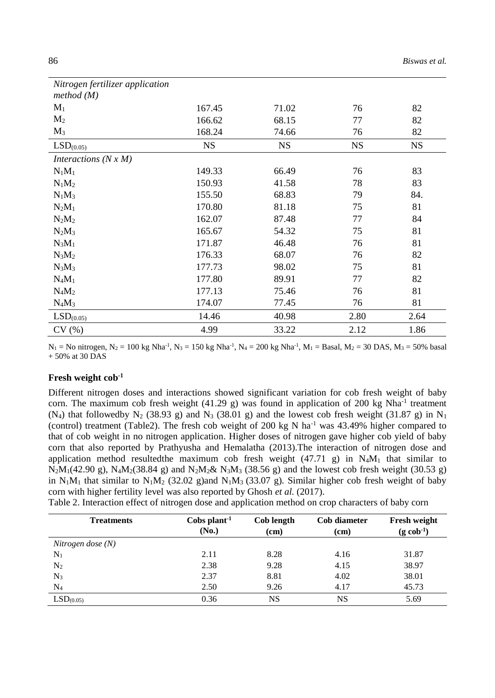| Nitrogen fertilizer application<br>method (M) |           |           |           |           |
|-----------------------------------------------|-----------|-----------|-----------|-----------|
| $M_1$                                         | 167.45    | 71.02     | 76        | 82        |
| M <sub>2</sub>                                | 166.62    | 68.15     | 77        | 82        |
| $M_3$                                         | 168.24    | 74.66     | 76        | 82        |
| LSD <sub>(0.05)</sub>                         | <b>NS</b> | <b>NS</b> | <b>NS</b> | <b>NS</b> |
| Interactions $(N x M)$                        |           |           |           |           |
| $N_1M_1$                                      | 149.33    | 66.49     | 76        | 83        |
| $N_1M_2$                                      | 150.93    | 41.58     | 78        | 83        |
| $N_1M_3$                                      | 155.50    | 68.83     | 79        | 84.       |
| $N_2M_1$                                      | 170.80    | 81.18     | 75        | 81        |
| $N_2M_2$                                      | 162.07    | 87.48     | 77        | 84        |
| $N_2M_3$                                      | 165.67    | 54.32     | 75        | 81        |
| $N_3M_1$                                      | 171.87    | 46.48     | 76        | 81        |
| $N_3M_2$                                      | 176.33    | 68.07     | 76        | 82        |
| $N_3M_3$                                      | 177.73    | 98.02     | 75        | 81        |
| $N_4M_1$                                      | 177.80    | 89.91     | 77        | 82        |
| $N_4M_2$                                      | 177.13    | 75.46     | 76        | 81        |
| $N_4M_3$                                      | 174.07    | 77.45     | 76        | 81        |
| $LSD(0.05)$                                   | 14.46     | 40.98     | 2.80      | 2.64      |
| CV(%)                                         | 4.99      | 33.22     | 2.12      | 1.86      |

 $N_1$  = No nitrogen,  $N_2$  = 100 kg Nha<sup>-1</sup>, N<sub>3</sub> = 150 kg Nha<sup>-1</sup>, N<sub>4</sub> = 200 kg Nha<sup>-1</sup>, M<sub>1</sub> = Basal, M<sub>2</sub> = 30 DAS, M<sub>3</sub> = 50% basal + 50% at 30 DAS

### **Fresh weight cob-1**

Different nitrogen doses and interactions showed significant variation for cob fresh weight of baby corn. The maximum cob fresh weight  $(41.29 \text{ g})$  was found in application of 200 kg Nha<sup>-1</sup> treatment (N<sub>4</sub>) that followedby N<sub>2</sub> (38.93 g) and N<sub>3</sub> (38.01 g) and the lowest cob fresh weight (31.87 g) in N<sub>1</sub> (control) treatment (Table2). The fresh cob weight of 200 kg N ha<sup>-1</sup> was 43.49% higher compared to that of cob weight in no nitrogen application. Higher doses of nitrogen gave higher cob yield of baby corn that also reported by Prathyusha and Hemalatha (2013).The interaction of nitrogen dose and application method resulted the maximum cob fresh weight  $(47.71\text{ g})$  in N<sub>4</sub>M<sub>1</sub> that similar to  $N_2M_1(42.90 \text{ g})$ ,  $N_4M_2(38.84 \text{ g})$  and  $N_2M_2\& N_3M_3(38.56 \text{ g})$  and the lowest cob fresh weight (30.53 g) in  $N_1M_1$  that similar to  $N_1M_2$  (32.02 g)and  $N_1M_3$  (33.07 g). Similar higher cob fresh weight of baby corn with higher fertility level was also reported by Ghosh *et al.* (2017).

Table 2. Interaction effect of nitrogen dose and application method on crop characters of baby corn

| <b>Treatments</b>     | Cobs plant <sup>-1</sup><br>(No.) | Cob length<br>(cm) | Cob diameter<br>(cm) | <b>Fresh weight</b><br>$(g \text{ cob}^{-1})$ |
|-----------------------|-----------------------------------|--------------------|----------------------|-----------------------------------------------|
| Nitrogen dose $(N)$   |                                   |                    |                      |                                               |
| $\rm N_1$             | 2.11                              | 8.28               | 4.16                 | 31.87                                         |
| $N_2$                 | 2.38                              | 9.28               | 4.15                 | 38.97                                         |
| $N_3$                 | 2.37                              | 8.81               | 4.02                 | 38.01                                         |
| $\rm N_4$             | 2.50                              | 9.26               | 4.17                 | 45.73                                         |
| LSD <sub>(0.05)</sub> | 0.36                              | NS                 | NS                   | 5.69                                          |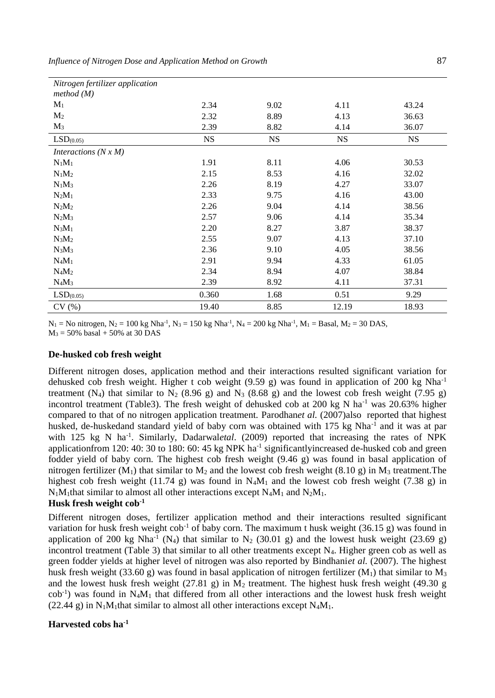| Nitrogen fertilizer application |           |           |           |           |
|---------------------------------|-----------|-----------|-----------|-----------|
| method (M)                      |           |           |           |           |
| $M_1$                           | 2.34      | 9.02      | 4.11      | 43.24     |
| M <sub>2</sub>                  | 2.32      | 8.89      | 4.13      | 36.63     |
| $M_3$                           | 2.39      | 8.82      | 4.14      | 36.07     |
| LSD <sub>(0.05)</sub>           | <b>NS</b> | <b>NS</b> | <b>NS</b> | <b>NS</b> |
| Interactions $(N x M)$          |           |           |           |           |
| $N_1M_1$                        | 1.91      | 8.11      | 4.06      | 30.53     |
| $N_1M_2$                        | 2.15      | 8.53      | 4.16      | 32.02     |
| $N_1M_3$                        | 2.26      | 8.19      | 4.27      | 33.07     |
| $N_2M_1$                        | 2.33      | 9.75      | 4.16      | 43.00     |
| $N_2M_2$                        | 2.26      | 9.04      | 4.14      | 38.56     |
| $N_2M_3$                        | 2.57      | 9.06      | 4.14      | 35.34     |
| $N_3M_1$                        | 2.20      | 8.27      | 3.87      | 38.37     |
| $N_3M_2$                        | 2.55      | 9.07      | 4.13      | 37.10     |
| $N_3M_3$                        | 2.36      | 9.10      | 4.05      | 38.56     |
| $N_4M_1$                        | 2.91      | 9.94      | 4.33      | 61.05     |
| $N_4M_2$                        | 2.34      | 8.94      | 4.07      | 38.84     |
| $N_4M_3$                        | 2.39      | 8.92      | 4.11      | 37.31     |
| $LSD(0.05)$                     | 0.360     | 1.68      | 0.51      | 9.29      |
| CV(%)                           | 19.40     | 8.85      | 12.19     | 18.93     |

 $N_1$  = No nitrogen,  $N_2$  = 100 kg Nha<sup>-1</sup>, N<sub>3</sub> = 150 kg Nha<sup>-1</sup>, N<sub>4</sub> = 200 kg Nha<sup>-1</sup>, M<sub>1</sub> = Basal, M<sub>2</sub> = 30 DAS,  $M_3 = 50\%$  basal + 50% at 30 DAS

#### **De-husked cob fresh weight**

Different nitrogen doses, application method and their interactions resulted significant variation for dehusked cob fresh weight. Higher t cob weight  $(9.59 \text{ g})$  was found in application of 200 kg Nha<sup>-1</sup> treatment (N<sub>4</sub>) that similar to N<sub>2</sub> (8.96 g) and N<sub>3</sub> (8.68 g) and the lowest cob fresh weight (7.95 g) incontrol treatment (Table3). The fresh weight of dehusked cob at 200 kg N ha<sup>-1</sup> was 20.63% higher compared to that of no nitrogen application treatment. Parodhan*et al.* (2007)also reported that highest husked, de-huskedand standard yield of baby corn was obtained with 175 kg Nha<sup>-1</sup> and it was at par with 125 kg N ha<sup>-1</sup>. Similarly, Dadarwaletal. (2009) reported that increasing the rates of NPK application from 120: 40: 30 to 180: 60: 45 kg NPK ha<sup>-1</sup> significantly increased de-husked cob and green fodder yield of baby corn. The highest cob fresh weight (9.46 g) was found in basal application of nitrogen fertilizer  $(M_1)$  that similar to  $M_2$  and the lowest cob fresh weight (8.10 g) in  $M_3$  treatment. The highest cob fresh weight (11.74 g) was found in  $N_4M_1$  and the lowest cob fresh weight (7.38 g) in  $N_1M_1$ that similar to almost all other interactions except  $N_4M_1$  and  $N_2M_1$ .

# **Husk fresh weight cob-1**

Different nitrogen doses, fertilizer application method and their interactions resulted significant variation for husk fresh weight  $\cosh^{-1}$  of baby corn. The maximum t husk weight (36.15 g) was found in application of 200 kg Nha<sup>-1</sup> (N<sub>4</sub>) that similar to N<sub>2</sub> (30.01 g) and the lowest husk weight (23.69 g) incontrol treatment (Table 3) that similar to all other treatments except  $N_4$ . Higher green cob as well as green fodder yields at higher level of nitrogen was also reported by Bindhani*et al.* (2007). The highest husk fresh weight (33.60 g) was found in basal application of nitrogen fertilizer (M<sub>1</sub>) that similar to M<sub>3</sub> and the lowest husk fresh weight (27.81 g) in  $\overline{M}_2$  treatment. The highest husk fresh weight (49.30 g cob<sup>-1</sup>) was found in N<sub>4</sub>M<sub>1</sub> that differed from all other interactions and the lowest husk fresh weight (22.44 g) in  $N_1M_1$ that similar to almost all other interactions except  $N_4M_1$ .

### **Harvested cobs ha-1**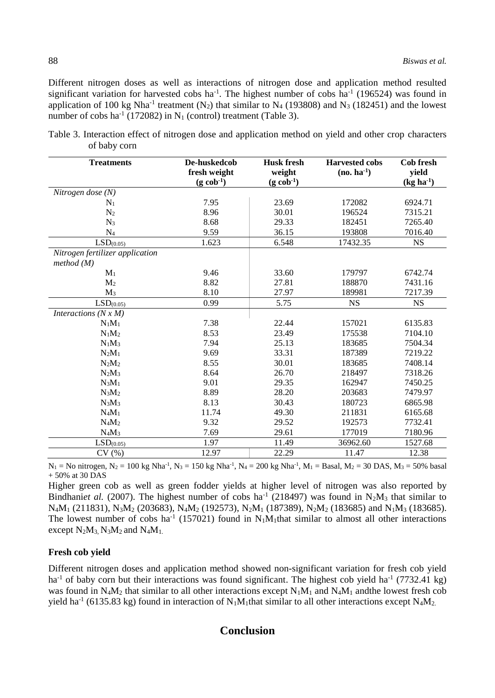Different nitrogen doses as well as interactions of nitrogen dose and application method resulted significant variation for harvested cobs ha<sup>-1</sup>. The highest number of cobs ha<sup>-1</sup> (196524) was found in application of 100 kg Nha<sup>-1</sup> treatment (N<sub>2</sub>) that similar to N<sub>4</sub> (193808) and N<sub>3</sub> (182451) and the lowest number of cobs ha<sup>-1</sup> (172082) in N<sub>1</sub> (control) treatment (Table 3).

Table 3. Interaction effect of nitrogen dose and application method on yield and other crop characters of baby corn

| <b>Treatments</b>               | De-huskedcob           | <b>Husk fresh</b>      | <b>Harvested cobs</b> | <b>Cob fresh</b> |
|---------------------------------|------------------------|------------------------|-----------------------|------------------|
|                                 | fresh weight           | weight                 | $(no. ha^{-1})$       | yield            |
|                                 | $(g \text{ cob}^{-1})$ | $(g \text{ cob}^{-1})$ |                       | $(kg ha^{-1})$   |
| Nitrogen dose $(N)$             |                        |                        |                       |                  |
| $N_1$                           | 7.95                   | 23.69                  | 172082                | 6924.71          |
| N <sub>2</sub>                  | 8.96                   | 30.01                  | 196524                | 7315.21          |
| $N_3$                           | 8.68                   | 29.33                  | 182451                | 7265.40          |
| $N_4$                           | 9.59                   | 36.15                  | 193808                | 7016.40          |
| $LSD_{(\underline{0.05})}$      | 1.623                  | 6.548                  | 17432.35              | <b>NS</b>        |
| Nitrogen fertilizer application |                        |                        |                       |                  |
| method (M)                      |                        |                        |                       |                  |
| $M_1$                           | 9.46                   | 33.60                  | 179797                | 6742.74          |
| M <sub>2</sub>                  | 8.82                   | 27.81                  | 188870                | 7431.16          |
| $M_3$                           | 8.10                   | 27.97                  | 189981                | 7217.39          |
| LSD <sub>(0.05)</sub>           | 0.99                   | 5.75                   | <b>NS</b>             | <b>NS</b>        |
| Interactions $(N x M)$          |                        |                        |                       |                  |
| $N_1M_1$                        | 7.38                   | 22.44                  | 157021                | 6135.83          |
| $N_1M_2$                        | 8.53                   | 23.49                  | 175538                | 7104.10          |
| $N_1M_3$                        | 7.94                   | 25.13                  | 183685                | 7504.34          |
| $N_2M_1$                        | 9.69                   | 33.31                  | 187389                | 7219.22          |
| $N_2M_2$                        | 8.55                   | 30.01                  | 183685                | 7408.14          |
| $N_2M_3$                        | 8.64                   | 26.70                  | 218497                | 7318.26          |
| $N_3M_1$                        | 9.01                   | 29.35                  | 162947                | 7450.25          |
| $N_3M_2$                        | 8.89                   | 28.20                  | 203683                | 7479.97          |
| $N_3M_3$                        | 8.13                   | 30.43                  | 180723                | 6865.98          |
| $N_4M_1$                        | 11.74                  | 49.30                  | 211831                | 6165.68          |
| $N_4M_2$                        | 9.32                   | 29.52                  | 192573                | 7732.41          |
| $N_4M_3$                        | 7.69                   | 29.61                  | 177019                | 7180.96          |
| $LSD(0.05)$                     | 1.97                   | 11.49                  | 36962.60              | 1527.68          |
| CV(%)                           | 12.97                  | 22.29                  | 11.47                 | 12.38            |

 $N_1$  = No nitrogen,  $N_2$  = 100 kg Nha<sup>-1</sup>, N<sub>3</sub> = 150 kg Nha<sup>-1</sup>, N<sub>4</sub> = 200 kg Nha<sup>-1</sup>, M<sub>1</sub> = Basal, M<sub>2</sub> = 30 DAS, M<sub>3</sub> = 50% basal + 50% at 30 DAS

Higher green cob as well as green fodder yields at higher level of nitrogen was also reported by Bindhaniet al. (2007). The highest number of cobs ha<sup>-1</sup> (218497) was found in  $N_2M_3$  that similar to  $N_4M_1$  (211831),  $N_3M_2$  (203683),  $N_4M_2$  (192573),  $N_2M_1$  (187389),  $N_2M_2$  (183685) and  $N_1M_3$  (183685). The lowest number of cobs ha<sup>-1</sup> (157021) found in N<sub>1</sub>M<sub>1</sub>that similar to almost all other interactions except  $N_2M_3$ ,  $N_3M_2$  and  $N_4M_1$ .

#### **Fresh cob yield**

Different nitrogen doses and application method showed non-significant variation for fresh cob yield ha<sup>-1</sup> of baby corn but their interactions was found significant. The highest cob yield ha<sup>-1</sup> (7732.41 kg) was found in  $N_4M_2$  that similar to all other interactions except  $N_1M_1$  and  $N_4M_1$  andthe lowest fresh cob yield ha<sup>-1</sup> (6135.83 kg) found in interaction of N<sub>1</sub>M<sub>1</sub>that similar to all other interactions except N<sub>4</sub>M<sub>2</sub>

# **Conclusion**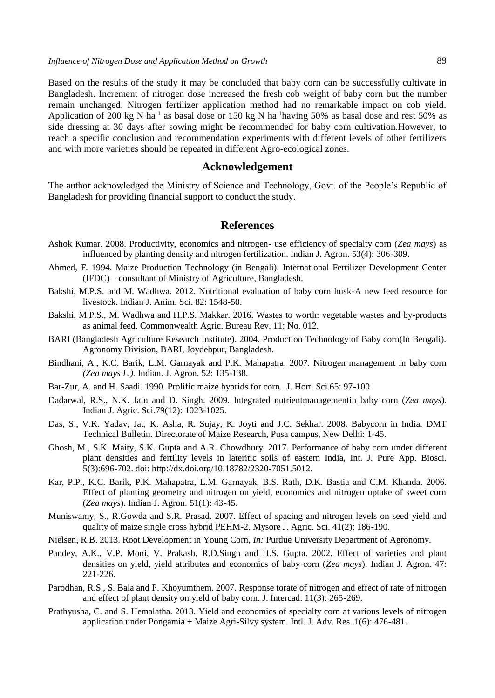Based on the results of the study it may be concluded that baby corn can be successfully cultivate in Bangladesh. Increment of nitrogen dose increased the fresh cob weight of baby corn but the number remain unchanged. Nitrogen fertilizer application method had no remarkable impact on cob yield. Application of 200 kg N ha<sup>-1</sup> as basal dose or 150 kg N ha<sup>-1</sup>having 50% as basal dose and rest 50% as side dressing at 30 days after sowing might be recommended for baby corn cultivation.However, to reach a specific conclusion and recommendation experiments with different levels of other fertilizers and with more varieties should be repeated in different Agro-ecological zones.

#### **Acknowledgement**

The author acknowledged the Ministry of Science and Technology, Govt. of the People's Republic of Bangladesh for providing financial support to conduct the study.

#### **References**

- Ashok Kumar. 2008. Productivity, economics and nitrogen- use efficiency of specialty corn (*Zea mays*) as influenced by planting density and nitrogen fertilization. Indian J. Agron. 53(4): 306-309.
- Ahmed, F. 1994. Maize Production Technology (in Bengali). International Fertilizer Development Center (IFDC) – consultant of Ministry of Agriculture, Bangladesh.
- Bakshi, M.P.S. and M. Wadhwa. 2012. Nutritional evaluation of baby corn husk-A new feed resource for livestock. Indian J. Anim. Sci. 82: 1548-50.
- Bakshi, M.P.S., M. Wadhwa and H.P.S. Makkar. 2016. Wastes to worth: vegetable wastes and by-products as animal feed. Commonwealth Agric. Bureau Rev. 11: No. 012.
- BARI (Bangladesh Agriculture Research Institute). 2004. Production Technology of Baby corn(In Bengali). Agronomy Division, BARI, Joydebpur, Bangladesh.
- Bindhani, A., K.C. Barik, L.M. Garnayak and P.K. Mahapatra. 2007. Nitrogen management in baby corn *(Zea mays L.).* Indian. J. Agron. 52: 135-138.
- Bar-Zur, A. and H. Saadi. 1990. Prolific maize hybrids for corn. J. Hort. Sci.65: 97-100.
- Dadarwal, R.S., N.K. Jain and D. Singh. 2009. Integrated nutrientmanagementin baby corn (*Zea mays*). Indian J. Agric. Sci.79(12): 1023-1025.
- Das, S., V.K. Yadav, Jat, K. Asha, R. Sujay, K. Joyti and J.C. Sekhar. 2008. Babycorn in India. DMT Technical Bulletin. Directorate of Maize Research, Pusa campus, New Delhi: 1-45.
- Ghosh, M., S.K. Maity, S.K. Gupta and A.R. Chowdhury. 2017. Performance of baby corn under different plant densities and fertility levels in lateritic soils of eastern India, Int. J. Pure App. Biosci. 5(3):696-702. doi: http://dx.doi.org/10.18782/2320-7051.5012.
- Kar, P.P., K.C. Barik, P.K. Mahapatra, L.M. Garnayak, B.S. Rath, D.K. Bastia and C.M. Khanda. 2006. Effect of planting geometry and nitrogen on yield, economics and nitrogen uptake of sweet corn (*Zea mays*). Indian J. Agron. 51(1): 43-45.
- Muniswamy, S., R.Gowda and S.R. Prasad. 2007. Effect of spacing and nitrogen levels on seed yield and quality of maize single cross hybrid PEHM-2. Mysore J. Agric. Sci. 41(2): 186-190.
- Nielsen, R.B. 2013. Root Development in Young Corn*, In:* Purdue University Department of Agronomy.
- Pandey, A.K., V.P. Moni, V. Prakash, R.D.Singh and H.S. Gupta. 2002. Effect of varieties and plant densities on yield, yield attributes and economics of baby corn (*Zea mays*). Indian J. Agron. 47: 221-226.
- Parodhan, R.S., S. Bala and P. Khoyumthem. 2007. Response torate of nitrogen and effect of rate of nitrogen and effect of plant density on yield of baby corn. J. Intercad. 11(3): 265-269.
- Prathyusha, C. and S. Hemalatha. 2013. Yield and economics of specialty corn at various levels of nitrogen application under Pongamia + Maize Agri-Silvy system. Intl. J. Adv. Res. 1(6): 476-481.